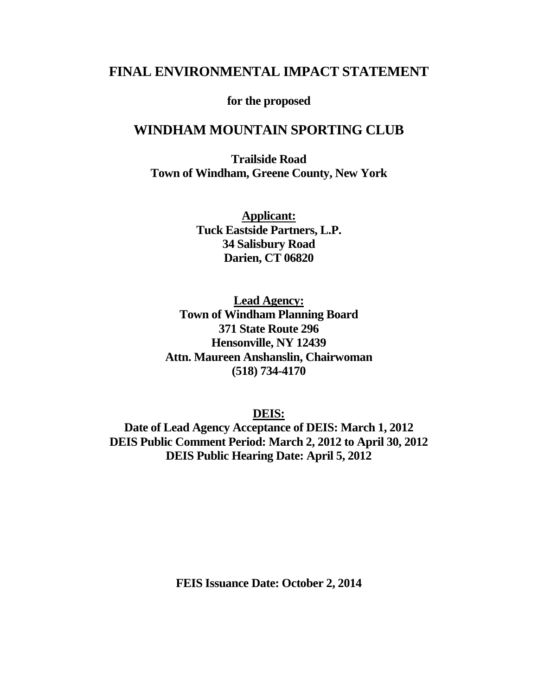# **FINAL ENVIRONMENTAL IMPACT STATEMENT**

**for the proposed**

## **WINDHAM MOUNTAIN SPORTING CLUB**

**Trailside Road Town of Windham, Greene County, New York**

> **Applicant: Tuck Eastside Partners, L.P. 34 Salisbury Road Darien, CT 06820**

**Lead Agency: Town of Windham Planning Board 371 State Route 296 Hensonville, NY 12439 Attn. Maureen Anshanslin, Chairwoman (518) 734-4170**

**DEIS:**

**Date of Lead Agency Acceptance of DEIS: March 1, 2012 DEIS Public Comment Period: March 2, 2012 to April 30, 2012 DEIS Public Hearing Date: April 5, 2012**

**FEIS Issuance Date: October 2, 2014**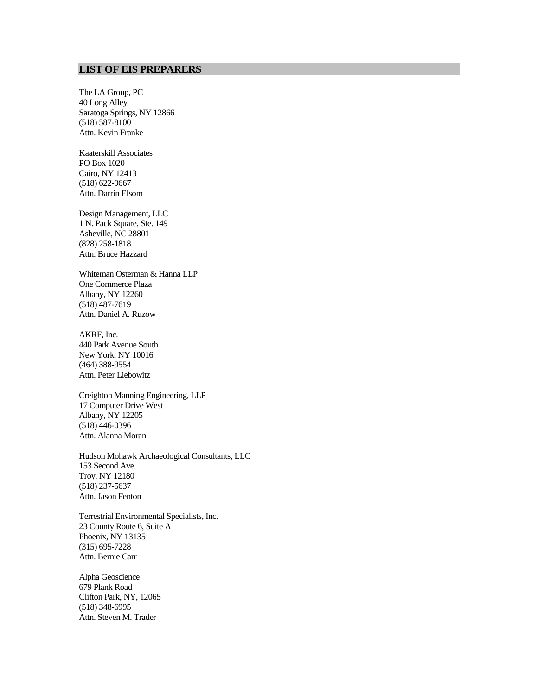#### **LIST OF EIS PREPARERS**

The LA Group, PC 40 Long Alley Saratoga Springs, NY 12866 (518) 587-8100 Attn. Kevin Franke

Kaaterskill Associates PO Box 1020 Cairo, NY 12413 (518) 622-9667 Attn. Darrin Elsom

Design Management, LLC 1 N. Pack Square, Ste. 149 Asheville, NC 28801 (828) 258-1818 Attn. Bruce Hazzard

Whiteman Osterman & Hanna LLP One Commerce Plaza Albany, NY 12260 (518) 487-7619 Attn. Daniel A. Ruzow

AKRF, Inc. 440 Park Avenue South New York, NY 10016 (464) 388-9554 Attn. Peter Liebowitz

Creighton Manning Engineering, LLP 17 Computer Drive West Albany, NY 12205 (518) 446-0396 Attn. Alanna Moran

Hudson Mohawk Archaeological Consultants, LLC 153 Second Ave. Troy, NY 12180 (518) 237-5637 Attn. Jason Fenton

Terrestrial Environmental Specialists, Inc. 23 County Route 6, Suite A Phoenix, NY 13135 (315) 695-7228 Attn. Bernie Carr

Alpha Geoscience 679 Plank Road Clifton Park, NY, 12065 (518) 348-6995 Attn. Steven M. Trader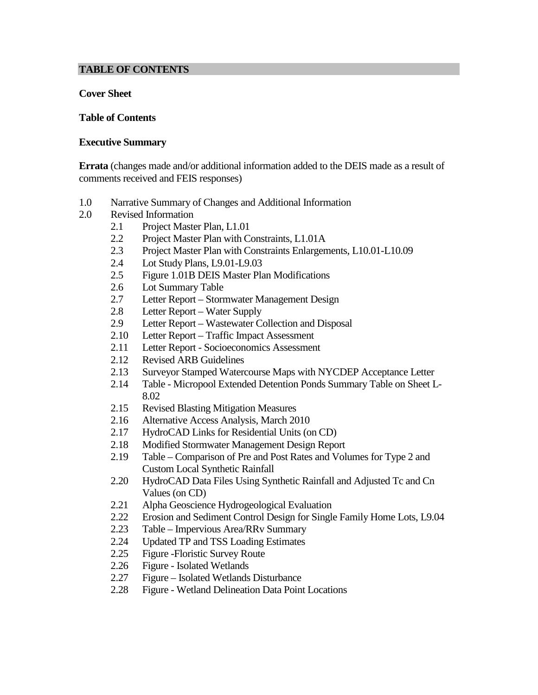#### **TABLE OF CONTENTS**

#### **Cover Sheet**

#### **Table of Contents**

#### **Executive Summary**

**Errata** (changes made and/or additional information added to the DEIS made as a result of comments received and FEIS responses)

- 1.0 Narrative Summary of Changes and Additional Information
- 2.0 Revised Information
	- 2.1 Project Master Plan, L1.01
	- 2.2 Project Master Plan with Constraints, L1.01A
	- 2.3 Project Master Plan with Constraints Enlargements, L10.01-L10.09
	- 2.4 Lot Study Plans, L9.01-L9.03
	- 2.5 Figure 1.01B DEIS Master Plan Modifications
	- 2.6 Lot Summary Table
	- 2.7 Letter Report Stormwater Management Design
	- 2.8 Letter Report Water Supply
	- 2.9 Letter Report Wastewater Collection and Disposal
	- 2.10 Letter Report Traffic Impact Assessment
	- 2.11 Letter Report Socioeconomics Assessment
	- 2.12 Revised ARB Guidelines
	- 2.13 Surveyor Stamped Watercourse Maps with NYCDEP Acceptance Letter
	- 2.14 Table Micropool Extended Detention Ponds Summary Table on Sheet L-8.02
	- 2.15 Revised Blasting Mitigation Measures
	- 2.16 Alternative Access Analysis, March 2010
	- 2.17 HydroCAD Links for Residential Units (on CD)
	- 2.18 Modified Stormwater Management Design Report
	- 2.19 Table Comparison of Pre and Post Rates and Volumes for Type 2 and Custom Local Synthetic Rainfall
	- 2.20 HydroCAD Data Files Using Synthetic Rainfall and Adjusted Tc and Cn Values (on CD)
	- 2.21 Alpha Geoscience Hydrogeological Evaluation
	- 2.22 Erosion and Sediment Control Design for Single Family Home Lots, L9.04
	- 2.23 Table Impervious Area/RRv Summary
	- 2.24 Updated TP and TSS Loading Estimates
	- 2.25 Figure Floristic Survey Route<br>2.26 Figure Isolated Wetlands
	- Figure Isolated Wetlands
	- 2.27 Figure Isolated Wetlands Disturbance
	- 2.28 Figure Wetland Delineation Data Point Locations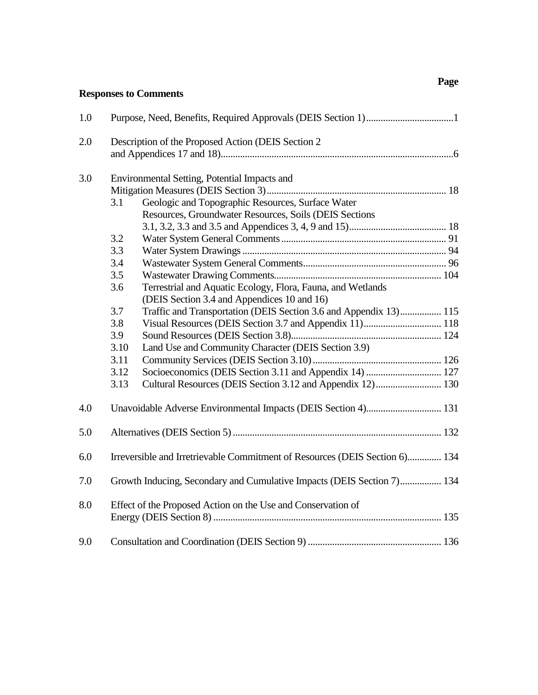## **Responses to Comments**

| 1.0 |                                                                             |                                                                        |  |  |  |  |
|-----|-----------------------------------------------------------------------------|------------------------------------------------------------------------|--|--|--|--|
| 2.0 | Description of the Proposed Action (DEIS Section 2)                         |                                                                        |  |  |  |  |
|     |                                                                             |                                                                        |  |  |  |  |
| 3.0 | Environmental Setting, Potential Impacts and                                |                                                                        |  |  |  |  |
|     |                                                                             |                                                                        |  |  |  |  |
|     | Geologic and Topographic Resources, Surface Water<br>3.1                    |                                                                        |  |  |  |  |
|     |                                                                             | Resources, Groundwater Resources, Soils (DEIS Sections                 |  |  |  |  |
|     |                                                                             |                                                                        |  |  |  |  |
|     | 3.2                                                                         |                                                                        |  |  |  |  |
|     | 3.3                                                                         |                                                                        |  |  |  |  |
|     | 3.4                                                                         |                                                                        |  |  |  |  |
|     | 3.5                                                                         |                                                                        |  |  |  |  |
|     | 3.6                                                                         | Terrestrial and Aquatic Ecology, Flora, Fauna, and Wetlands            |  |  |  |  |
|     |                                                                             | (DEIS Section 3.4 and Appendices 10 and 16)                            |  |  |  |  |
|     | 3.7                                                                         | Traffic and Transportation (DEIS Section 3.6 and Appendix 13) 115      |  |  |  |  |
|     | 3.8                                                                         |                                                                        |  |  |  |  |
|     | 3.9                                                                         |                                                                        |  |  |  |  |
|     | 3.10                                                                        | Land Use and Community Character (DEIS Section 3.9)                    |  |  |  |  |
|     | 3.11                                                                        |                                                                        |  |  |  |  |
|     | 3.12                                                                        |                                                                        |  |  |  |  |
|     | 3.13                                                                        |                                                                        |  |  |  |  |
| 4.0 |                                                                             | Unavoidable Adverse Environmental Impacts (DEIS Section 4) 131         |  |  |  |  |
| 5.0 |                                                                             |                                                                        |  |  |  |  |
| 6.0 | Irreversible and Irretrievable Commitment of Resources (DEIS Section 6) 134 |                                                                        |  |  |  |  |
| 7.0 |                                                                             | Growth Inducing, Secondary and Cumulative Impacts (DEIS Section 7) 134 |  |  |  |  |
| 8.0 |                                                                             | Effect of the Proposed Action on the Use and Conservation of           |  |  |  |  |
|     |                                                                             |                                                                        |  |  |  |  |
| 9.0 |                                                                             |                                                                        |  |  |  |  |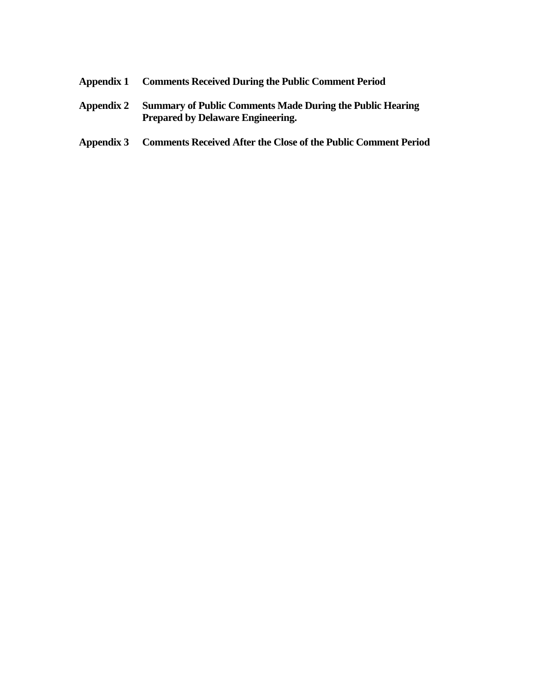- **Appendix 1 Comments Received During the Public Comment Period**
- **Appendix 2 Summary of Public Comments Made During the Public Hearing Prepared by Delaware Engineering.**
- **Appendix 3 Comments Received After the Close of the Public Comment Period**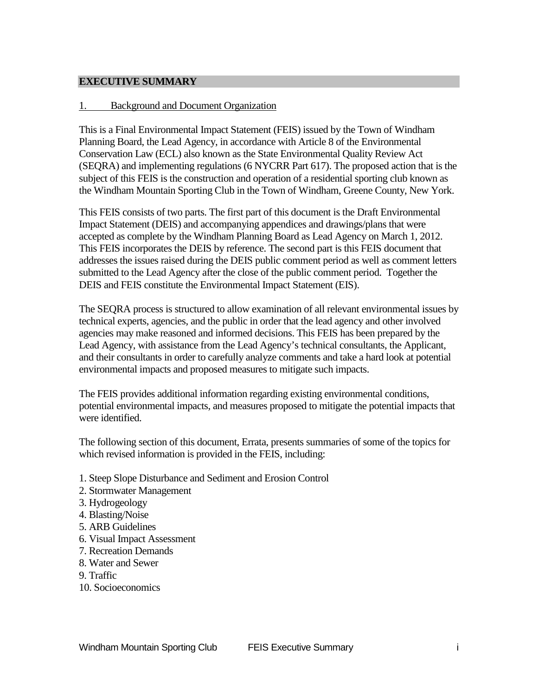#### **EXECUTIVE SUMMARY**

#### 1. Background and Document Organization

This is a Final Environmental Impact Statement (FEIS) issued by the Town of Windham Planning Board, the Lead Agency, in accordance with Article 8 of the Environmental Conservation Law (ECL) also known as the State Environmental Quality Review Act (SEQRA) and implementing regulations (6 NYCRR Part 617). The proposed action that is the subject of this FEIS is the construction and operation of a residential sporting club known as the Windham Mountain Sporting Club in the Town of Windham, Greene County, New York.

This FEIS consists of two parts. The first part of this document is the Draft Environmental Impact Statement (DEIS) and accompanying appendices and drawings/plans that were accepted as complete by the Windham Planning Board as Lead Agency on March 1, 2012. This FEIS incorporates the DEIS by reference. The second part is this FEIS document that addresses the issues raised during the DEIS public comment period as well as comment letters submitted to the Lead Agency after the close of the public comment period. Together the DEIS and FEIS constitute the Environmental Impact Statement (EIS).

The SEQRA process is structured to allow examination of all relevant environmental issues by technical experts, agencies, and the public in order that the lead agency and other involved agencies may make reasoned and informed decisions. This FEIS has been prepared by the Lead Agency, with assistance from the Lead Agency's technical consultants, the Applicant, and their consultants in order to carefully analyze comments and take a hard look at potential environmental impacts and proposed measures to mitigate such impacts.

The FEIS provides additional information regarding existing environmental conditions, potential environmental impacts, and measures proposed to mitigate the potential impacts that were identified.

The following section of this document, Errata, presents summaries of some of the topics for which revised information is provided in the FEIS, including:

- 1. Steep Slope Disturbance and Sediment and Erosion Control
- 2. Stormwater Management
- 3. Hydrogeology
- 4. Blasting/Noise
- 5. ARB Guidelines
- 6. Visual Impact Assessment
- 7. Recreation Demands
- 8. Water and Sewer
- 9. Traffic
- 10. Socioeconomics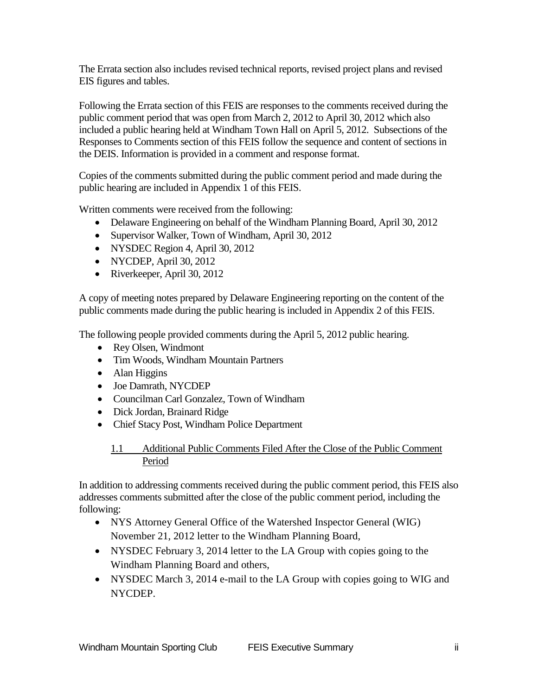The Errata section also includes revised technical reports, revised project plans and revised EIS figures and tables.

Following the Errata section of this FEIS are responses to the comments received during the public comment period that was open from March 2, 2012 to April 30, 2012 which also included a public hearing held at Windham Town Hall on April 5, 2012. Subsections of the Responses to Comments section of this FEIS follow the sequence and content of sections in the DEIS. Information is provided in a comment and response format.

Copies of the comments submitted during the public comment period and made during the public hearing are included in Appendix 1 of this FEIS.

Written comments were received from the following:

- Delaware Engineering on behalf of the Windham Planning Board, April 30, 2012
- Supervisor Walker, Town of Windham, April 30, 2012
- NYSDEC Region 4, April 30, 2012
- NYCDEP, April 30, 2012
- Riverkeeper, April 30, 2012

A copy of meeting notes prepared by Delaware Engineering reporting on the content of the public comments made during the public hearing is included in Appendix 2 of this FEIS.

The following people provided comments during the April 5, 2012 public hearing.

- Rey Olsen, Windmont
- Tim Woods, Windham Mountain Partners
- Alan Higgins
- Joe Damrath, NYCDEP
- Councilman Carl Gonzalez, Town of Windham
- Dick Jordan, Brainard Ridge
- Chief Stacy Post, Windham Police Department

### 1.1 Additional Public Comments Filed After the Close of the Public Comment Period

In addition to addressing comments received during the public comment period, this FEIS also addresses comments submitted after the close of the public comment period, including the following:

- NYS Attorney General Office of the Watershed Inspector General (WIG) November 21, 2012 letter to the Windham Planning Board,
- NYSDEC February 3, 2014 letter to the LA Group with copies going to the Windham Planning Board and others,
- NYSDEC March 3, 2014 e-mail to the LA Group with copies going to WIG and NYCDEP.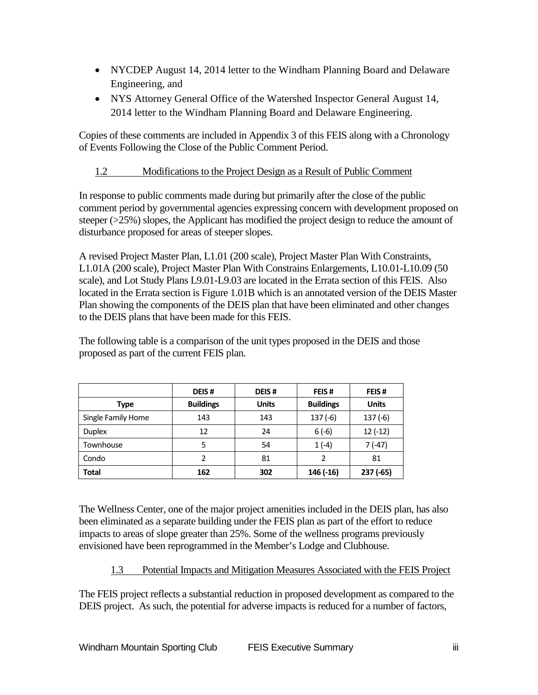- NYCDEP August 14, 2014 letter to the Windham Planning Board and Delaware Engineering, and
- NYS Attorney General Office of the Watershed Inspector General August 14, 2014 letter to the Windham Planning Board and Delaware Engineering.

Copies of these comments are included in Appendix 3 of this FEIS along with a Chronology of Events Following the Close of the Public Comment Period.

## 1.2 Modifications to the Project Design as a Result of Public Comment

In response to public comments made during but primarily after the close of the public comment period by governmental agencies expressing concern with development proposed on steeper  $(>25%)$  slopes, the Applicant has modified the project design to reduce the amount of disturbance proposed for areas of steeper slopes.

A revised Project Master Plan, L1.01 (200 scale), Project Master Plan With Constraints, L1.01A (200 scale), Project Master Plan With Constrains Enlargements, L10.01-L10.09 (50 scale), and Lot Study Plans L9.01-L9.03 are located in the Errata section of this FEIS. Also located in the Errata section is Figure 1.01B which is an annotated version of the DEIS Master Plan showing the components of the DEIS plan that have been eliminated and other changes to the DEIS plans that have been made for this FEIS.

The following table is a comparison of the unit types proposed in the DEIS and those proposed as part of the current FEIS plan.

|                    | DEIS#            | DEIS#        | FEIS#            | FEIS#        |
|--------------------|------------------|--------------|------------------|--------------|
| <b>Type</b>        | <b>Buildings</b> | <b>Units</b> | <b>Buildings</b> | <b>Units</b> |
| Single Family Home | 143              | 143          | $137(-6)$        | $137(-6)$    |
| <b>Duplex</b>      | 12               | 24           | $6(-6)$          | $12(-12)$    |
| Townhouse          | 5                | 54           | $1(-4)$          | 7 (-47)      |
| Condo              | $\overline{2}$   | 81           | 2                | 81           |
| <b>Total</b>       | 162              | 302          | 146 (-16)        | $237(-65)$   |

The Wellness Center, one of the major project amenities included in the DEIS plan, has also been eliminated as a separate building under the FEIS plan as part of the effort to reduce impacts to areas of slope greater than 25%. Some of the wellness programs previously envisioned have been reprogrammed in the Member's Lodge and Clubhouse.

## 1.3 Potential Impacts and Mitigation Measures Associated with the FEIS Project

The FEIS project reflects a substantial reduction in proposed development as compared to the DEIS project. As such, the potential for adverse impacts is reduced for a number of factors,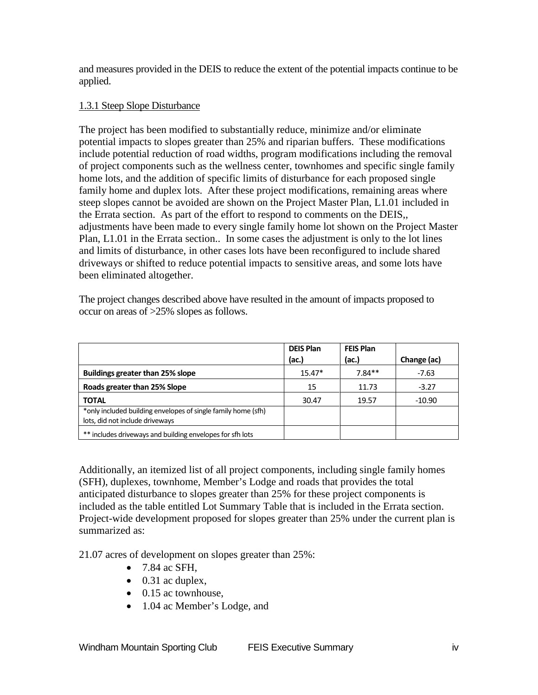and measures provided in the DEIS to reduce the extent of the potential impacts continue to be applied.

#### 1.3.1 Steep Slope Disturbance

The project has been modified to substantially reduce, minimize and/or eliminate potential impacts to slopes greater than 25% and riparian buffers. These modifications include potential reduction of road widths, program modifications including the removal of project components such as the wellness center, townhomes and specific single family home lots, and the addition of specific limits of disturbance for each proposed single family home and duplex lots. After these project modifications, remaining areas where steep slopes cannot be avoided are shown on the Project Master Plan, L1.01 included in the Errata section. As part of the effort to respond to comments on the DEIS,, adjustments have been made to every single family home lot shown on the Project Master Plan, L1.01 in the Errata section.. In some cases the adjustment is only to the lot lines and limits of disturbance, in other cases lots have been reconfigured to include shared driveways or shifted to reduce potential impacts to sensitive areas, and some lots have been eliminated altogether.

The project changes described above have resulted in the amount of impacts proposed to occur on areas of >25% slopes as follows.

|                                                               | <b>DEIS Plan</b> | <b>FEIS Plan</b> |             |
|---------------------------------------------------------------|------------------|------------------|-------------|
|                                                               | (ac.)            | (ac.)            | Change (ac) |
| <b>Buildings greater than 25% slope</b>                       | $15.47*$         | $7.84**$         | $-7.63$     |
| Roads greater than 25% Slope                                  | 15               | 11.73            | $-3.27$     |
| <b>TOTAL</b>                                                  | 30.47            | 19.57            | $-10.90$    |
| *only included building envelopes of single family home (sfh) |                  |                  |             |
| lots, did not include driveways                               |                  |                  |             |
| ** includes driveways and building envelopes for sfh lots     |                  |                  |             |

Additionally, an itemized list of all project components, including single family homes (SFH), duplexes, townhome, Member's Lodge and roads that provides the total anticipated disturbance to slopes greater than 25% for these project components is included as the table entitled Lot Summary Table that is included in the Errata section. Project-wide development proposed for slopes greater than 25% under the current plan is summarized as:

21.07 acres of development on slopes greater than 25%:

- 7.84 ac SFH,
- $\bullet$  0.31 ac duplex,
- 0.15 ac townhouse,
- 1.04 ac Member's Lodge, and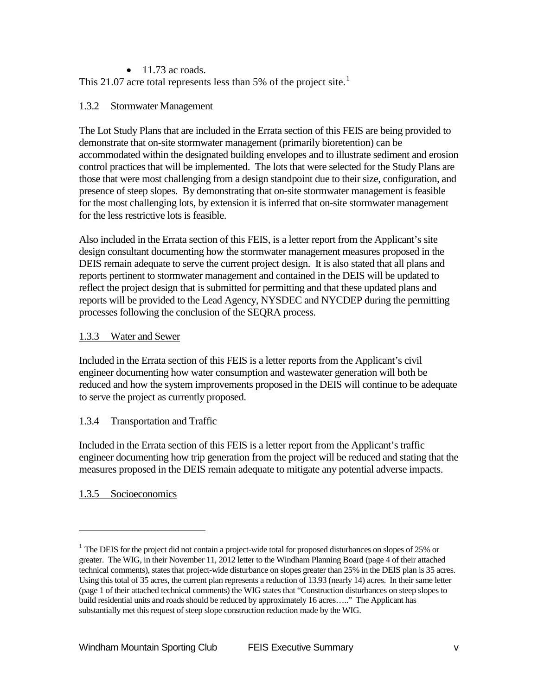#### $\bullet$  11.73 ac roads.

This 2[1](#page-9-0).07 acre total represents less than 5% of the project site.<sup>1</sup>

#### 1.3.2 Stormwater Management

The Lot Study Plans that are included in the Errata section of this FEIS are being provided to demonstrate that on-site stormwater management (primarily bioretention) can be accommodated within the designated building envelopes and to illustrate sediment and erosion control practices that will be implemented. The lots that were selected for the Study Plans are those that were most challenging from a design standpoint due to their size, configuration, and presence of steep slopes. By demonstrating that on-site stormwater management is feasible for the most challenging lots, by extension it is inferred that on-site stormwater management for the less restrictive lots is feasible.

Also included in the Errata section of this FEIS, is a letter report from the Applicant's site design consultant documenting how the stormwater management measures proposed in the DEIS remain adequate to serve the current project design. It is also stated that all plans and reports pertinent to stormwater management and contained in the DEIS will be updated to reflect the project design that is submitted for permitting and that these updated plans and reports will be provided to the Lead Agency, NYSDEC and NYCDEP during the permitting processes following the conclusion of the SEQRA process.

#### 1.3.3 Water and Sewer

Included in the Errata section of this FEIS is a letter reports from the Applicant's civil engineer documenting how water consumption and wastewater generation will both be reduced and how the system improvements proposed in the DEIS will continue to be adequate to serve the project as currently proposed.

#### 1.3.4 Transportation and Traffic

Included in the Errata section of this FEIS is a letter report from the Applicant's traffic engineer documenting how trip generation from the project will be reduced and stating that the measures proposed in the DEIS remain adequate to mitigate any potential adverse impacts.

### 1.3.5 Socioeconomics

-

<span id="page-9-0"></span><sup>&</sup>lt;sup>1</sup> The DEIS for the project did not contain a project-wide total for proposed disturbances on slopes of 25% or greater. The WIG, in their November 11, 2012 letter to the Windham Planning Board (page 4 of their attached technical comments), states that project-wide disturbance on slopes greater than 25% in the DEIS plan is 35 acres. Using this total of 35 acres, the current plan represents a reduction of 13.93 (nearly 14) acres. In their same letter (page 1 of their attached technical comments) the WIG states that "Construction disturbances on steep slopes to build residential units and roads should be reduced by approximately 16 acres….." The Applicant has substantially met this request of steep slope construction reduction made by the WIG.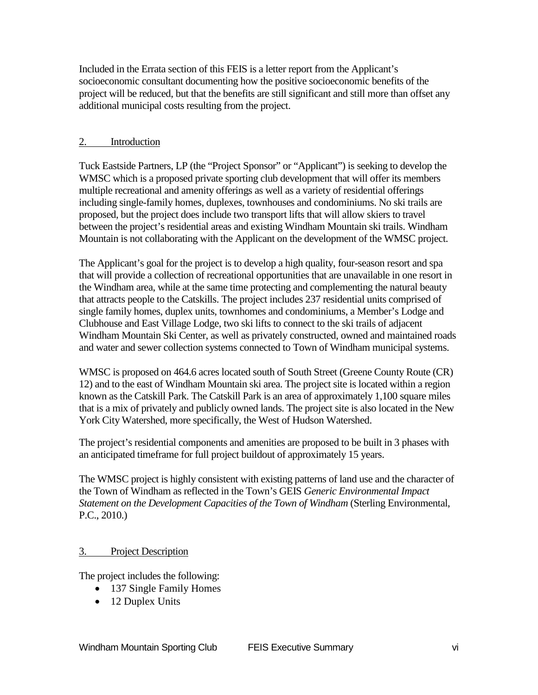Included in the Errata section of this FEIS is a letter report from the Applicant's socioeconomic consultant documenting how the positive socioeconomic benefits of the project will be reduced, but that the benefits are still significant and still more than offset any additional municipal costs resulting from the project.

#### 2. Introduction

Tuck Eastside Partners, LP (the "Project Sponsor" or "Applicant") is seeking to develop the WMSC which is a proposed private sporting club development that will offer its members multiple recreational and amenity offerings as well as a variety of residential offerings including single-family homes, duplexes, townhouses and condominiums. No ski trails are proposed, but the project does include two transport lifts that will allow skiers to travel between the project's residential areas and existing Windham Mountain ski trails. Windham Mountain is not collaborating with the Applicant on the development of the WMSC project.

The Applicant's goal for the project is to develop a high quality, four-season resort and spa that will provide a collection of recreational opportunities that are unavailable in one resort in the Windham area, while at the same time protecting and complementing the natural beauty that attracts people to the Catskills. The project includes 237 residential units comprised of single family homes, duplex units, townhomes and condominiums, a Member's Lodge and Clubhouse and East Village Lodge, two ski lifts to connect to the ski trails of adjacent Windham Mountain Ski Center, as well as privately constructed, owned and maintained roads and water and sewer collection systems connected to Town of Windham municipal systems.

WMSC is proposed on 464.6 acres located south of South Street (Greene County Route (CR) 12) and to the east of Windham Mountain ski area. The project site is located within a region known as the Catskill Park. The Catskill Park is an area of approximately 1,100 square miles that is a mix of privately and publicly owned lands. The project site is also located in the New York City Watershed, more specifically, the West of Hudson Watershed.

The project's residential components and amenities are proposed to be built in 3 phases with an anticipated timeframe for full project buildout of approximately 15 years.

The WMSC project is highly consistent with existing patterns of land use and the character of the Town of Windham as reflected in the Town's GEIS *Generic Environmental Impact Statement on the Development Capacities of the Town of Windham* (Sterling Environmental, P.C., 2010.)

#### 3. Project Description

The project includes the following:

- 137 Single Family Homes
- 12 Duplex Units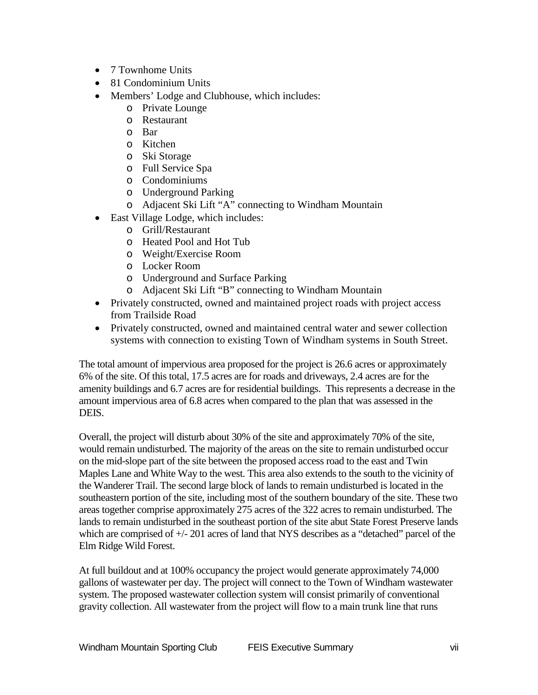- 7 Townhome Units
- 81 Condominium Units
- Members' Lodge and Clubhouse, which includes:
	- o Private Lounge
	- o Restaurant
	- o Bar
	- o Kitchen
	- o Ski Storage
	- o Full Service Spa
	- o Condominiums
	- o Underground Parking
	- o Adjacent Ski Lift "A" connecting to Windham Mountain
- East Village Lodge, which includes:
	- o Grill/Restaurant
	- o Heated Pool and Hot Tub
	- o Weight/Exercise Room
	- o Locker Room
	- o Underground and Surface Parking
	- o Adjacent Ski Lift "B" connecting to Windham Mountain
- Privately constructed, owned and maintained project roads with project access from Trailside Road
- Privately constructed, owned and maintained central water and sewer collection systems with connection to existing Town of Windham systems in South Street.

The total amount of impervious area proposed for the project is 26.6 acres or approximately 6% of the site. Of this total, 17.5 acres are for roads and driveways, 2.4 acres are for the amenity buildings and 6.7 acres are for residential buildings. This represents a decrease in the amount impervious area of 6.8 acres when compared to the plan that was assessed in the DEIS.

Overall, the project will disturb about 30% of the site and approximately 70% of the site, would remain undisturbed. The majority of the areas on the site to remain undisturbed occur on the mid-slope part of the site between the proposed access road to the east and Twin Maples Lane and White Way to the west. This area also extends to the south to the vicinity of the Wanderer Trail. The second large block of lands to remain undisturbed is located in the southeastern portion of the site, including most of the southern boundary of the site. These two areas together comprise approximately 275 acres of the 322 acres to remain undisturbed. The lands to remain undisturbed in the southeast portion of the site abut State Forest Preserve lands which are comprised of  $+/-201$  acres of land that NYS describes as a "detached" parcel of the Elm Ridge Wild Forest.

At full buildout and at 100% occupancy the project would generate approximately 74,000 gallons of wastewater per day. The project will connect to the Town of Windham wastewater system. The proposed wastewater collection system will consist primarily of conventional gravity collection. All wastewater from the project will flow to a main trunk line that runs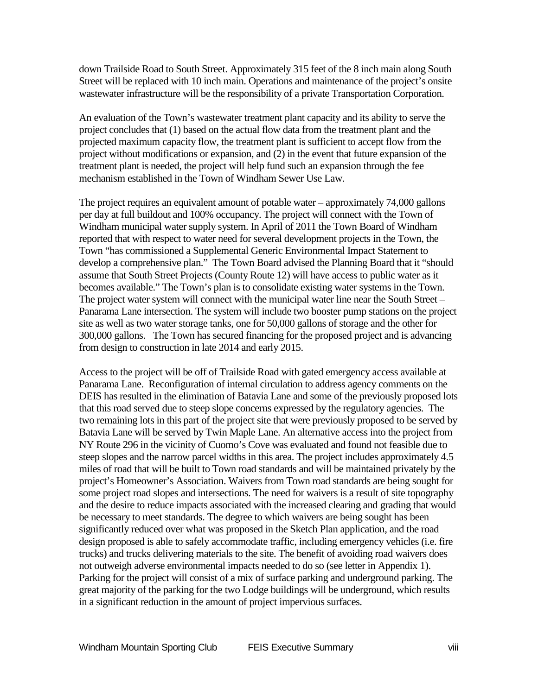down Trailside Road to South Street. Approximately 315 feet of the 8 inch main along South Street will be replaced with 10 inch main. Operations and maintenance of the project's onsite wastewater infrastructure will be the responsibility of a private Transportation Corporation.

An evaluation of the Town's wastewater treatment plant capacity and its ability to serve the project concludes that (1) based on the actual flow data from the treatment plant and the projected maximum capacity flow, the treatment plant is sufficient to accept flow from the project without modifications or expansion, and (2) in the event that future expansion of the treatment plant is needed, the project will help fund such an expansion through the fee mechanism established in the Town of Windham Sewer Use Law.

The project requires an equivalent amount of potable water – approximately 74,000 gallons per day at full buildout and 100% occupancy. The project will connect with the Town of Windham municipal water supply system. In April of 2011 the Town Board of Windham reported that with respect to water need for several development projects in the Town, the Town "has commissioned a Supplemental Generic Environmental Impact Statement to develop a comprehensive plan." The Town Board advised the Planning Board that it "should assume that South Street Projects (County Route 12) will have access to public water as it becomes available." The Town's plan is to consolidate existing water systems in the Town. The project water system will connect with the municipal water line near the South Street – Panarama Lane intersection. The system will include two booster pump stations on the project site as well as two water storage tanks, one for 50,000 gallons of storage and the other for 300,000 gallons. The Town has secured financing for the proposed project and is advancing from design to construction in late 2014 and early 2015.

Access to the project will be off of Trailside Road with gated emergency access available at Panarama Lane. Reconfiguration of internal circulation to address agency comments on the DEIS has resulted in the elimination of Batavia Lane and some of the previously proposed lots that this road served due to steep slope concerns expressed by the regulatory agencies. The two remaining lots in this part of the project site that were previously proposed to be served by Batavia Lane will be served by Twin Maple Lane. An alternative access into the project from NY Route 296 in the vicinity of Cuomo's Cove was evaluated and found not feasible due to steep slopes and the narrow parcel widths in this area. The project includes approximately 4.5 miles of road that will be built to Town road standards and will be maintained privately by the project's Homeowner's Association. Waivers from Town road standards are being sought for some project road slopes and intersections. The need for waivers is a result of site topography and the desire to reduce impacts associated with the increased clearing and grading that would be necessary to meet standards. The degree to which waivers are being sought has been significantly reduced over what was proposed in the Sketch Plan application, and the road design proposed is able to safely accommodate traffic, including emergency vehicles (i.e. fire trucks) and trucks delivering materials to the site. The benefit of avoiding road waivers does not outweigh adverse environmental impacts needed to do so (see letter in Appendix 1). Parking for the project will consist of a mix of surface parking and underground parking. The great majority of the parking for the two Lodge buildings will be underground, which results in a significant reduction in the amount of project impervious surfaces.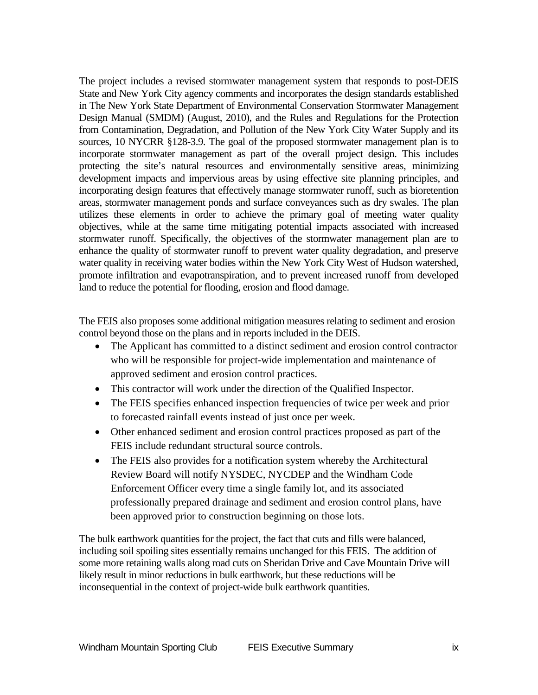The project includes a revised stormwater management system that responds to post-DEIS State and New York City agency comments and incorporates the design standards established in The New York State Department of Environmental Conservation Stormwater Management Design Manual (SMDM) (August, 2010), and the Rules and Regulations for the Protection from Contamination, Degradation, and Pollution of the New York City Water Supply and its sources, 10 NYCRR §128-3.9. The goal of the proposed stormwater management plan is to incorporate stormwater management as part of the overall project design. This includes protecting the site's natural resources and environmentally sensitive areas, minimizing development impacts and impervious areas by using effective site planning principles, and incorporating design features that effectively manage stormwater runoff, such as bioretention areas, stormwater management ponds and surface conveyances such as dry swales. The plan utilizes these elements in order to achieve the primary goal of meeting water quality objectives, while at the same time mitigating potential impacts associated with increased stormwater runoff. Specifically, the objectives of the stormwater management plan are to enhance the quality of stormwater runoff to prevent water quality degradation, and preserve water quality in receiving water bodies within the New York City West of Hudson watershed, promote infiltration and evapotranspiration, and to prevent increased runoff from developed land to reduce the potential for flooding, erosion and flood damage.

The FEIS also proposes some additional mitigation measures relating to sediment and erosion control beyond those on the plans and in reports included in the DEIS.

- The Applicant has committed to a distinct sediment and erosion control contractor who will be responsible for project-wide implementation and maintenance of approved sediment and erosion control practices.
- This contractor will work under the direction of the Qualified Inspector.
- The FEIS specifies enhanced inspection frequencies of twice per week and prior to forecasted rainfall events instead of just once per week.
- Other enhanced sediment and erosion control practices proposed as part of the FEIS include redundant structural source controls.
- The FEIS also provides for a notification system whereby the Architectural Review Board will notify NYSDEC, NYCDEP and the Windham Code Enforcement Officer every time a single family lot, and its associated professionally prepared drainage and sediment and erosion control plans, have been approved prior to construction beginning on those lots.

The bulk earthwork quantities for the project, the fact that cuts and fills were balanced, including soil spoiling sites essentially remains unchanged for this FEIS. The addition of some more retaining walls along road cuts on Sheridan Drive and Cave Mountain Drive will likely result in minor reductions in bulk earthwork, but these reductions will be inconsequential in the context of project-wide bulk earthwork quantities.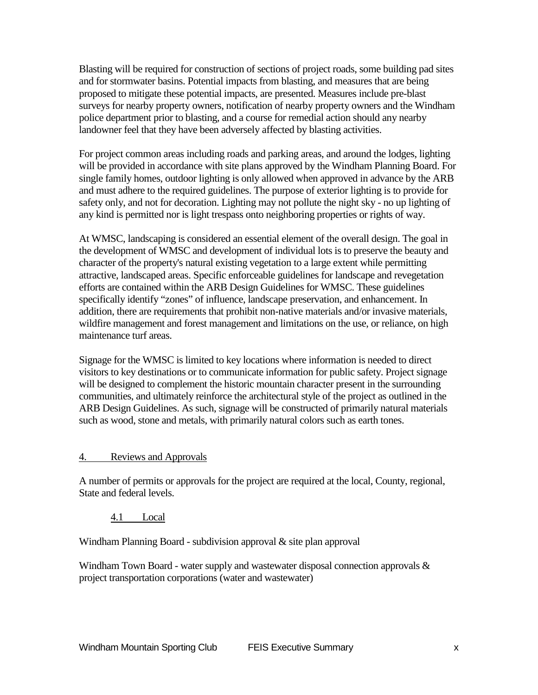Blasting will be required for construction of sections of project roads, some building pad sites and for stormwater basins. Potential impacts from blasting, and measures that are being proposed to mitigate these potential impacts, are presented. Measures include pre-blast surveys for nearby property owners, notification of nearby property owners and the Windham police department prior to blasting, and a course for remedial action should any nearby landowner feel that they have been adversely affected by blasting activities.

For project common areas including roads and parking areas, and around the lodges, lighting will be provided in accordance with site plans approved by the Windham Planning Board. For single family homes, outdoor lighting is only allowed when approved in advance by the ARB and must adhere to the required guidelines. The purpose of exterior lighting is to provide for safety only, and not for decoration. Lighting may not pollute the night sky - no up lighting of any kind is permitted nor is light trespass onto neighboring properties or rights of way.

At WMSC, landscaping is considered an essential element of the overall design. The goal in the development of WMSC and development of individual lots is to preserve the beauty and character of the property's natural existing vegetation to a large extent while permitting attractive, landscaped areas. Specific enforceable guidelines for landscape and revegetation efforts are contained within the ARB Design Guidelines for WMSC. These guidelines specifically identify "zones" of influence, landscape preservation, and enhancement. In addition, there are requirements that prohibit non-native materials and/or invasive materials, wildfire management and forest management and limitations on the use, or reliance, on high maintenance turf areas.

Signage for the WMSC is limited to key locations where information is needed to direct visitors to key destinations or to communicate information for public safety. Project signage will be designed to complement the historic mountain character present in the surrounding communities, and ultimately reinforce the architectural style of the project as outlined in the ARB Design Guidelines. As such, signage will be constructed of primarily natural materials such as wood, stone and metals, with primarily natural colors such as earth tones.

#### 4. Reviews and Approvals

A number of permits or approvals for the project are required at the local, County, regional, State and federal levels.

4.1 Local

Windham Planning Board - subdivision approval & site plan approval

Windham Town Board - water supply and wastewater disposal connection approvals  $\&$ project transportation corporations (water and wastewater)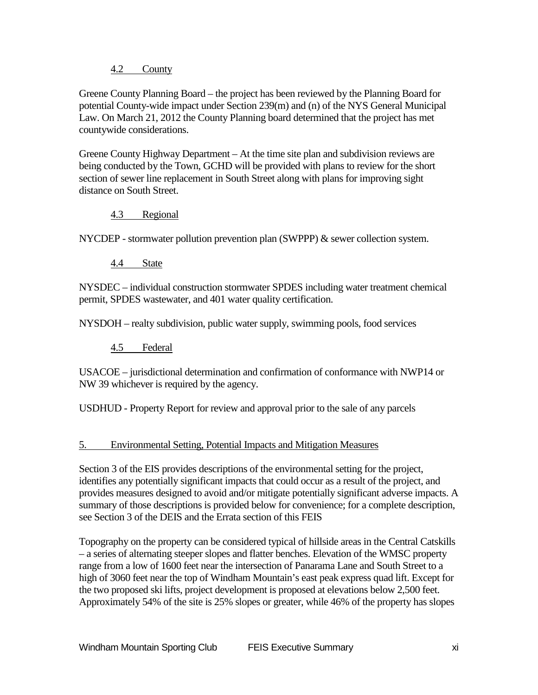#### 4.2 County

Greene County Planning Board – the project has been reviewed by the Planning Board for potential County-wide impact under Section 239(m) and (n) of the NYS General Municipal Law. On March 21, 2012 the County Planning board determined that the project has met countywide considerations.

Greene County Highway Department – At the time site plan and subdivision reviews are being conducted by the Town, GCHD will be provided with plans to review for the short section of sewer line replacement in South Street along with plans for improving sight distance on South Street.

#### 4.3 Regional

NYCDEP - stormwater pollution prevention plan (SWPPP) & sewer collection system.

4.4 State

NYSDEC – individual construction stormwater SPDES including water treatment chemical permit, SPDES wastewater, and 401 water quality certification.

NYSDOH – realty subdivision, public water supply, swimming pools, food services

4.5 Federal

USACOE – jurisdictional determination and confirmation of conformance with NWP14 or NW 39 whichever is required by the agency.

USDHUD - Property Report for review and approval prior to the sale of any parcels

### 5. Environmental Setting, Potential Impacts and Mitigation Measures

Section 3 of the EIS provides descriptions of the environmental setting for the project, identifies any potentially significant impacts that could occur as a result of the project, and provides measures designed to avoid and/or mitigate potentially significant adverse impacts. A summary of those descriptions is provided below for convenience; for a complete description, see Section 3 of the DEIS and the Errata section of this FEIS

Topography on the property can be considered typical of hillside areas in the Central Catskills – a series of alternating steeper slopes and flatter benches. Elevation of the WMSC property range from a low of 1600 feet near the intersection of Panarama Lane and South Street to a high of 3060 feet near the top of Windham Mountain's east peak express quad lift. Except for the two proposed ski lifts, project development is proposed at elevations below 2,500 feet. Approximately 54% of the site is 25% slopes or greater, while 46% of the property has slopes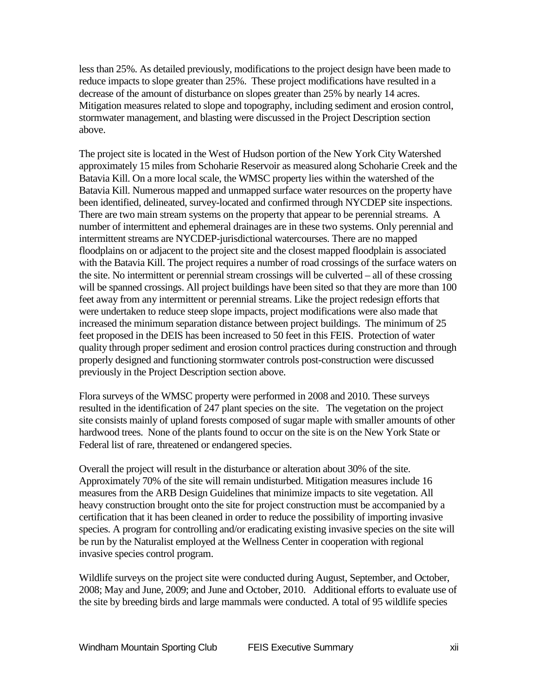less than 25%. As detailed previously, modifications to the project design have been made to reduce impacts to slope greater than 25%. These project modifications have resulted in a decrease of the amount of disturbance on slopes greater than 25% by nearly 14 acres. Mitigation measures related to slope and topography, including sediment and erosion control, stormwater management, and blasting were discussed in the Project Description section above.

The project site is located in the West of Hudson portion of the New York City Watershed approximately 15 miles from Schoharie Reservoir as measured along Schoharie Creek and the Batavia Kill. On a more local scale, the WMSC property lies within the watershed of the Batavia Kill. Numerous mapped and unmapped surface water resources on the property have been identified, delineated, survey-located and confirmed through NYCDEP site inspections. There are two main stream systems on the property that appear to be perennial streams. A number of intermittent and ephemeral drainages are in these two systems. Only perennial and intermittent streams are NYCDEP-jurisdictional watercourses. There are no mapped floodplains on or adjacent to the project site and the closest mapped floodplain is associated with the Batavia Kill. The project requires a number of road crossings of the surface waters on the site. No intermittent or perennial stream crossings will be culverted – all of these crossing will be spanned crossings. All project buildings have been sited so that they are more than 100 feet away from any intermittent or perennial streams. Like the project redesign efforts that were undertaken to reduce steep slope impacts, project modifications were also made that increased the minimum separation distance between project buildings. The minimum of 25 feet proposed in the DEIS has been increased to 50 feet in this FEIS. Protection of water quality through proper sediment and erosion control practices during construction and through properly designed and functioning stormwater controls post-construction were discussed previously in the Project Description section above.

Flora surveys of the WMSC property were performed in 2008 and 2010. These surveys resulted in the identification of 247 plant species on the site. The vegetation on the project site consists mainly of upland forests composed of sugar maple with smaller amounts of other hardwood trees. None of the plants found to occur on the site is on the New York State or Federal list of rare, threatened or endangered species.

Overall the project will result in the disturbance or alteration about 30% of the site. Approximately 70% of the site will remain undisturbed. Mitigation measures include 16 measures from the ARB Design Guidelines that minimize impacts to site vegetation. All heavy construction brought onto the site for project construction must be accompanied by a certification that it has been cleaned in order to reduce the possibility of importing invasive species. A program for controlling and/or eradicating existing invasive species on the site will be run by the Naturalist employed at the Wellness Center in cooperation with regional invasive species control program.

Wildlife surveys on the project site were conducted during August, September, and October, 2008; May and June, 2009; and June and October, 2010. Additional efforts to evaluate use of the site by breeding birds and large mammals were conducted. A total of 95 wildlife species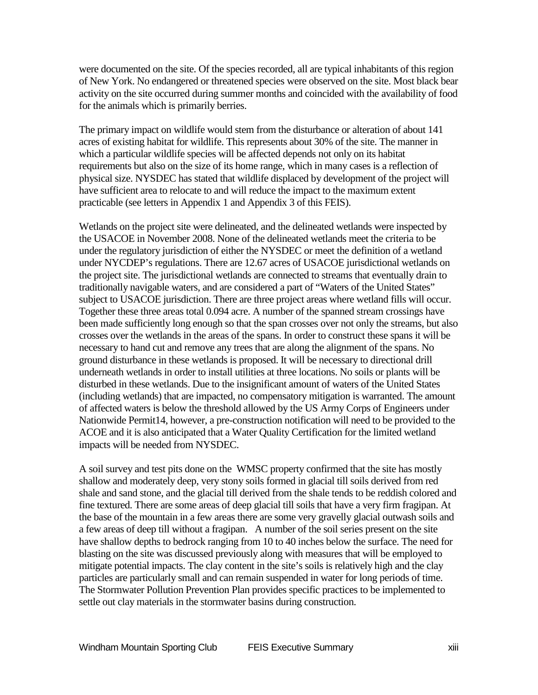were documented on the site. Of the species recorded, all are typical inhabitants of this region of New York. No endangered or threatened species were observed on the site. Most black bear activity on the site occurred during summer months and coincided with the availability of food for the animals which is primarily berries.

The primary impact on wildlife would stem from the disturbance or alteration of about 141 acres of existing habitat for wildlife. This represents about 30% of the site. The manner in which a particular wildlife species will be affected depends not only on its habitat requirements but also on the size of its home range, which in many cases is a reflection of physical size. NYSDEC has stated that wildlife displaced by development of the project will have sufficient area to relocate to and will reduce the impact to the maximum extent practicable (see letters in Appendix 1 and Appendix 3 of this FEIS).

Wetlands on the project site were delineated, and the delineated wetlands were inspected by the USACOE in November 2008. None of the delineated wetlands meet the criteria to be under the regulatory jurisdiction of either the NYSDEC or meet the definition of a wetland under NYCDEP's regulations. There are 12.67 acres of USACOE jurisdictional wetlands on the project site. The jurisdictional wetlands are connected to streams that eventually drain to traditionally navigable waters, and are considered a part of "Waters of the United States" subject to USACOE jurisdiction. There are three project areas where wetland fills will occur. Together these three areas total 0.094 acre. A number of the spanned stream crossings have been made sufficiently long enough so that the span crosses over not only the streams, but also crosses over the wetlands in the areas of the spans. In order to construct these spans it will be necessary to hand cut and remove any trees that are along the alignment of the spans. No ground disturbance in these wetlands is proposed. It will be necessary to directional drill underneath wetlands in order to install utilities at three locations. No soils or plants will be disturbed in these wetlands. Due to the insignificant amount of waters of the United States (including wetlands) that are impacted, no compensatory mitigation is warranted. The amount of affected waters is below the threshold allowed by the US Army Corps of Engineers under Nationwide Permit14, however, a pre-construction notification will need to be provided to the ACOE and it is also anticipated that a Water Quality Certification for the limited wetland impacts will be needed from NYSDEC.

A soil survey and test pits done on the WMSC property confirmed that the site has mostly shallow and moderately deep, very stony soils formed in glacial till soils derived from red shale and sand stone, and the glacial till derived from the shale tends to be reddish colored and fine textured. There are some areas of deep glacial till soils that have a very firm fragipan. At the base of the mountain in a few areas there are some very gravelly glacial outwash soils and a few areas of deep till without a fragipan. A number of the soil series present on the site have shallow depths to bedrock ranging from 10 to 40 inches below the surface. The need for blasting on the site was discussed previously along with measures that will be employed to mitigate potential impacts. The clay content in the site's soils is relatively high and the clay particles are particularly small and can remain suspended in water for long periods of time. The Stormwater Pollution Prevention Plan provides specific practices to be implemented to settle out clay materials in the stormwater basins during construction.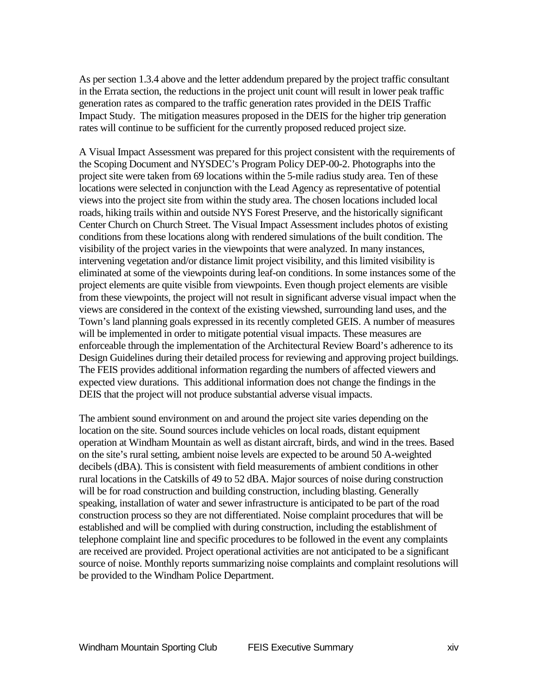As per section 1.3.4 above and the letter addendum prepared by the project traffic consultant in the Errata section, the reductions in the project unit count will result in lower peak traffic generation rates as compared to the traffic generation rates provided in the DEIS Traffic Impact Study. The mitigation measures proposed in the DEIS for the higher trip generation rates will continue to be sufficient for the currently proposed reduced project size.

A Visual Impact Assessment was prepared for this project consistent with the requirements of the Scoping Document and NYSDEC's Program Policy DEP-00-2. Photographs into the project site were taken from 69 locations within the 5-mile radius study area. Ten of these locations were selected in conjunction with the Lead Agency as representative of potential views into the project site from within the study area. The chosen locations included local roads, hiking trails within and outside NYS Forest Preserve, and the historically significant Center Church on Church Street. The Visual Impact Assessment includes photos of existing conditions from these locations along with rendered simulations of the built condition. The visibility of the project varies in the viewpoints that were analyzed. In many instances, intervening vegetation and/or distance limit project visibility, and this limited visibility is eliminated at some of the viewpoints during leaf-on conditions. In some instances some of the project elements are quite visible from viewpoints. Even though project elements are visible from these viewpoints, the project will not result in significant adverse visual impact when the views are considered in the context of the existing viewshed, surrounding land uses, and the Town's land planning goals expressed in its recently completed GEIS. A number of measures will be implemented in order to mitigate potential visual impacts. These measures are enforceable through the implementation of the Architectural Review Board's adherence to its Design Guidelines during their detailed process for reviewing and approving project buildings. The FEIS provides additional information regarding the numbers of affected viewers and expected view durations. This additional information does not change the findings in the DEIS that the project will not produce substantial adverse visual impacts.

The ambient sound environment on and around the project site varies depending on the location on the site. Sound sources include vehicles on local roads, distant equipment operation at Windham Mountain as well as distant aircraft, birds, and wind in the trees. Based on the site's rural setting, ambient noise levels are expected to be around 50 A-weighted decibels (dBA). This is consistent with field measurements of ambient conditions in other rural locations in the Catskills of 49 to 52 dBA. Major sources of noise during construction will be for road construction and building construction, including blasting. Generally speaking, installation of water and sewer infrastructure is anticipated to be part of the road construction process so they are not differentiated. Noise complaint procedures that will be established and will be complied with during construction, including the establishment of telephone complaint line and specific procedures to be followed in the event any complaints are received are provided. Project operational activities are not anticipated to be a significant source of noise. Monthly reports summarizing noise complaints and complaint resolutions will be provided to the Windham Police Department.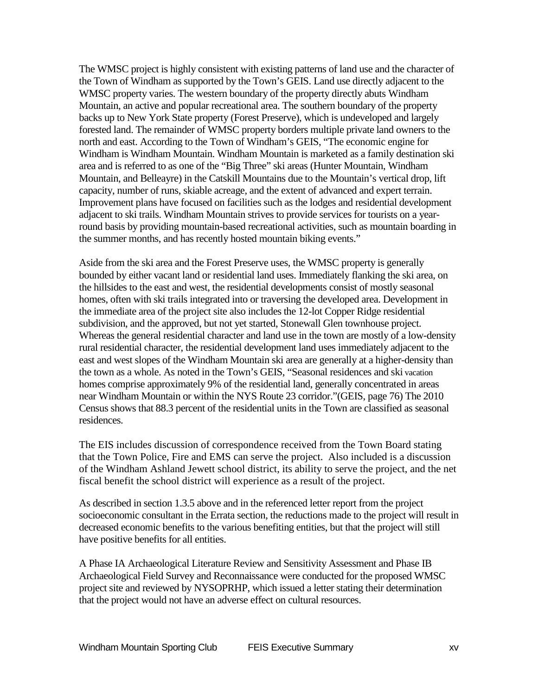The WMSC project is highly consistent with existing patterns of land use and the character of the Town of Windham as supported by the Town's GEIS. Land use directly adjacent to the WMSC property varies. The western boundary of the property directly abuts Windham Mountain, an active and popular recreational area. The southern boundary of the property backs up to New York State property (Forest Preserve), which is undeveloped and largely forested land. The remainder of WMSC property borders multiple private land owners to the north and east. According to the Town of Windham's GEIS, "The economic engine for Windham is Windham Mountain. Windham Mountain is marketed as a family destination ski area and is referred to as one of the "Big Three" ski areas (Hunter Mountain, Windham Mountain, and Belleayre) in the Catskill Mountains due to the Mountain's vertical drop, lift capacity, number of runs, skiable acreage, and the extent of advanced and expert terrain. Improvement plans have focused on facilities such as the lodges and residential development adjacent to ski trails. Windham Mountain strives to provide services for tourists on a yearround basis by providing mountain-based recreational activities, such as mountain boarding in the summer months, and has recently hosted mountain biking events."

Aside from the ski area and the Forest Preserve uses, the WMSC property is generally bounded by either vacant land or residential land uses. Immediately flanking the ski area, on the hillsides to the east and west, the residential developments consist of mostly seasonal homes, often with ski trails integrated into or traversing the developed area. Development in the immediate area of the project site also includes the 12-lot Copper Ridge residential subdivision, and the approved, but not yet started, Stonewall Glen townhouse project. Whereas the general residential character and land use in the town are mostly of a low-density rural residential character, the residential development land uses immediately adjacent to the east and west slopes of the Windham Mountain ski area are generally at a higher-density than the town as a whole. As noted in the Town's GEIS, "Seasonal residences and ski vacation homes comprise approximately 9% of the residential land, generally concentrated in areas near Windham Mountain or within the NYS Route 23 corridor."(GEIS, page 76) The 2010 Census shows that 88.3 percent of the residential units in the Town are classified as seasonal residences.

The EIS includes discussion of correspondence received from the Town Board stating that the Town Police, Fire and EMS can serve the project. Also included is a discussion of the Windham Ashland Jewett school district, its ability to serve the project, and the net fiscal benefit the school district will experience as a result of the project.

As described in section 1.3.5 above and in the referenced letter report from the project socioeconomic consultant in the Errata section, the reductions made to the project will result in decreased economic benefits to the various benefiting entities, but that the project will still have positive benefits for all entities.

A Phase IA Archaeological Literature Review and Sensitivity Assessment and Phase IB Archaeological Field Survey and Reconnaissance were conducted for the proposed WMSC project site and reviewed by NYSOPRHP, which issued a letter stating their determination that the project would not have an adverse effect on cultural resources.